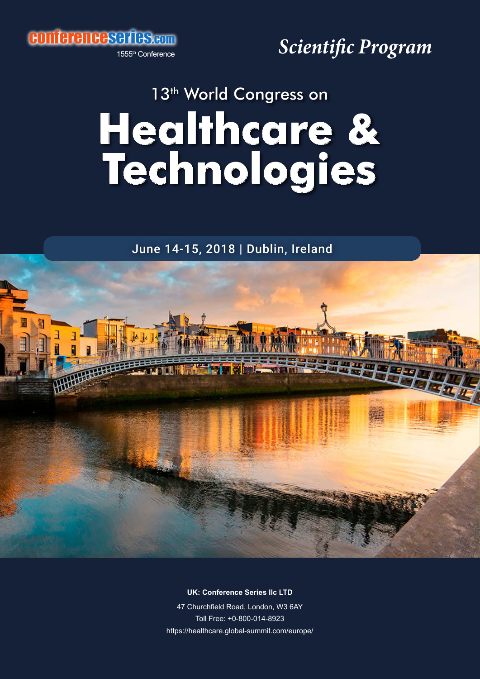conferenceseries.com

1555th Conference

*Scientific Program*

## **Healthcare & Technologies** 13<sup>th</sup> World Congress on

June 14-15, 2018 | Dublin, Ireland



**UK: Conference Series IIc LTD** 

47 Churchfield Road, London, W3 6AY Toll Free: +0-800-014-8923 https://healthcare.global-summit.com/europe/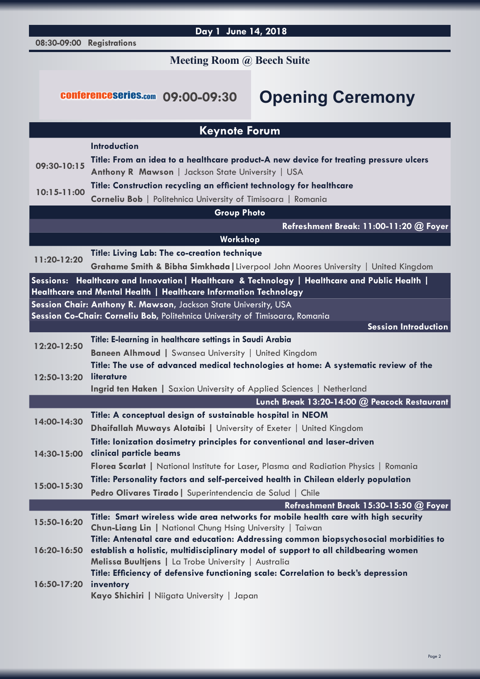## **08:30-09:00 Registrations Day 1 June 14, 2018 Keynote Forum Introduction 09:30-10:15 Title: From an idea to a healthcare product-A new device for treating pressure ulcers Anthony R Mawson** | Jackson State University | USA **10:15-11:00 Title: Construction recycling an efficient technology for healthcare Corneliu Bob** | Politehnica University of Timisoara | Romania **Group Photo Refreshment Break: 11:00-11:20 @ Foyer Workshop 11:20-12:20 Title: Living Lab: The co-creation technique Grahame Smith & Bibha Simkhada|**Liverpool John Moores University | United Kingdom **Sessions: Healthcare and Innovation| Healthcare & Technology | Healthcare and Public Health | Healthcare and Mental Health | Healthcare Information Technology Session Chair: Anthony R. Mawson,** Jackson State University, USA **Session Co-Chair: Corneliu Bob,** Politehnica University of Timisoara, Romania **Session Introduction 12:20-12:50 Title: E-learning in healthcare settings in Saudi Arabia Baneen Alhmoud |** Swansea University | United Kingdom **12:50-13:20 literature Title: The use of advanced medical technologies at home: A systematic review of the Ingrid ten Haken |** Saxion University of Applied Sciences | Netherland  **Lunch Break 13:20-14:00 @ Peacock Restaurant 14:00-14:30 Title: A conceptual design of sustainable hospital in NEOM Dhaifallah Muways Alotaibi |** University of Exeter | United Kingdom **14:30-15:00 clinical particle beams Title: Ionization dosimetry principles for conventional and laser-driven Florea Scarlat |** National Institute for Laser, Plasma and Radiation Physics | Romania **15:00-15:30 Title: Personality factors and self-perceived health in Chilean elderly population Pedro Olivares Tirado|** Superintendencia de Salud | Chile **Refreshment Break 15:30-15:50 @ Foyer 15:50-16:20 Title: Smart wireless wide area networks for mobile health care with high security Chun-Liang Lin |** National Chung Hsing University | Taiwan **16:20-16:50 establish a holistic, multidisciplinary model of support to all childbearing women Title: Antenatal care and education: Addressing common biopsychosocial morbidities to Melissa Buultjens |** La Trobe University | Australia **16:50-17:20 inventory Title: Efficiency of defensive functioning scale: Correlation to beck's depression**  conferenceseries.com **09:00-09:30 Opening Ceremony Meeting Room @ Beech Suite**

**Kayo Shichiri |** Niigata University | Japan